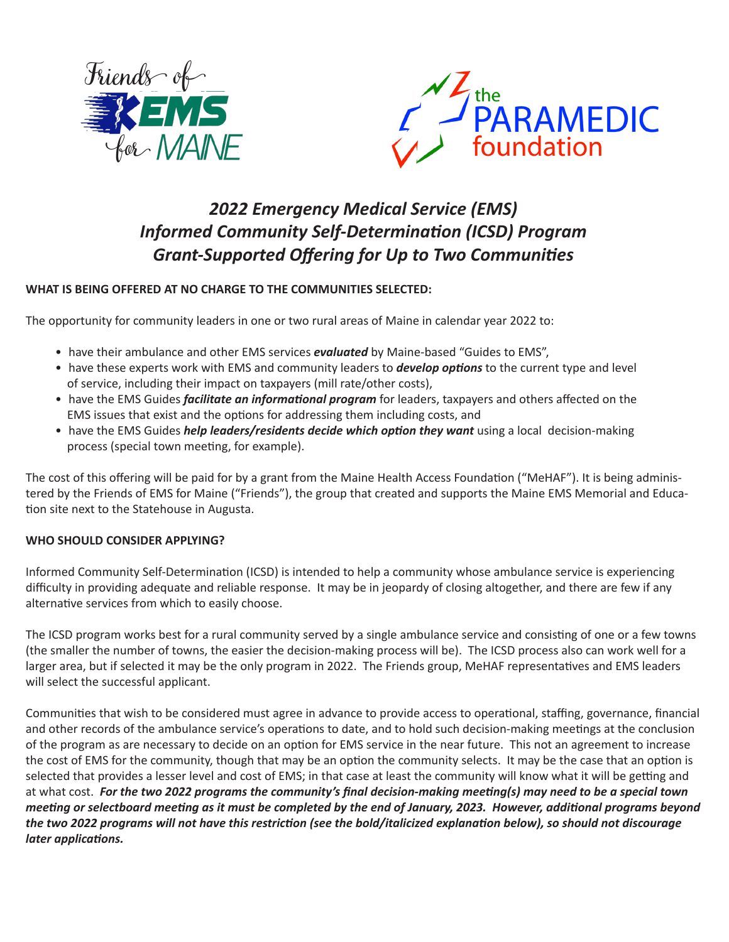



## *2022 Emergency Medical Service (EMS) Informed Community Self-Determination (ICSD) Program Grant-Supported Offering for Up to Two Communities*

## **WHAT IS BEING OFFERED AT NO CHARGE TO THE COMMUNITIES SELECTED:**

The opportunity for community leaders in one or two rural areas of Maine in calendar year 2022 to:

- have their ambulance and other EMS services *evaluated* by Maine-based "Guides to EMS",
- have these experts work with EMS and community leaders to *develop options* to the current type and level of service, including their impact on taxpayers (mill rate/other costs),
- have the EMS Guides *facilitate an informational program* for leaders, taxpayers and others affected on the EMS issues that exist and the options for addressing them including costs, and
- have the EMS Guides *help leaders/residents decide which option they want* using a local decision-making process (special town meeting, for example).

The cost of this offering will be paid for by a grant from the Maine Health Access Foundation ("MeHAF"). It is being administered by the Friends of EMS for Maine ("Friends"), the group that created and supports the Maine EMS Memorial and Education site next to the Statehouse in Augusta.

## **WHO SHOULD CONSIDER APPLYING?**

Informed Community Self-Determination (ICSD) is intended to help a community whose ambulance service is experiencing difficulty in providing adequate and reliable response. It may be in jeopardy of closing altogether, and there are few if any alternative services from which to easily choose.

The ICSD program works best for a rural community served by a single ambulance service and consisting of one or a few towns (the smaller the number of towns, the easier the decision-making process will be). The ICSD process also can work well for a larger area, but if selected it may be the only program in 2022. The Friends group, MeHAF representatives and EMS leaders will select the successful applicant.

Communities that wish to be considered must agree in advance to provide access to operational, staffing, governance, financial and other records of the ambulance service's operations to date, and to hold such decision-making meetings at the conclusion of the program as are necessary to decide on an option for EMS service in the near future. This not an agreement to increase the cost of EMS for the community, though that may be an option the community selects. It may be the case that an option is selected that provides a lesser level and cost of EMS; in that case at least the community will know what it will be getting and at what cost. *For the two 2022 programs the community's final decision-making meeting(s) may need to be a special town meeting or selectboard meeting as it must be completed by the end of January, 2023. However, additional programs beyond the two 2022 programs will not have this restriction (see the bold/italicized explanation below), so should not discourage later applications.*